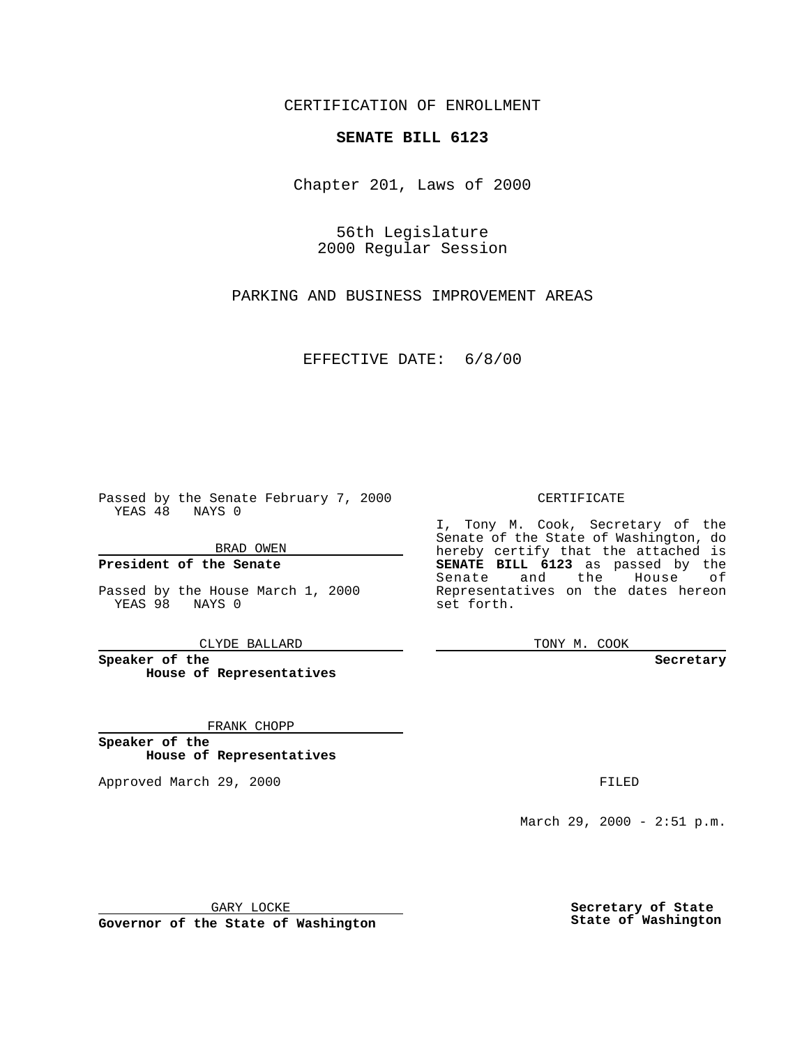CERTIFICATION OF ENROLLMENT

## **SENATE BILL 6123**

Chapter 201, Laws of 2000

56th Legislature 2000 Regular Session

PARKING AND BUSINESS IMPROVEMENT AREAS

EFFECTIVE DATE: 6/8/00

Passed by the Senate February 7, 2000 YEAS 48 NAYS 0

BRAD OWEN

**President of the Senate**

Passed by the House March 1, 2000 YEAS 98 NAYS 0

CLYDE BALLARD

**Speaker of the House of Representatives**

FRANK CHOPP

**Speaker of the House of Representatives**

Approved March 29, 2000 FILED

## CERTIFICATE

I, Tony M. Cook, Secretary of the Senate of the State of Washington, do hereby certify that the attached is **SENATE BILL 6123** as passed by the Senate and the House of Representatives on the dates hereon set forth.

TONY M. COOK

## **Secretary**

March 29, 2000 - 2:51 p.m.

GARY LOCKE

**Governor of the State of Washington**

**Secretary of State State of Washington**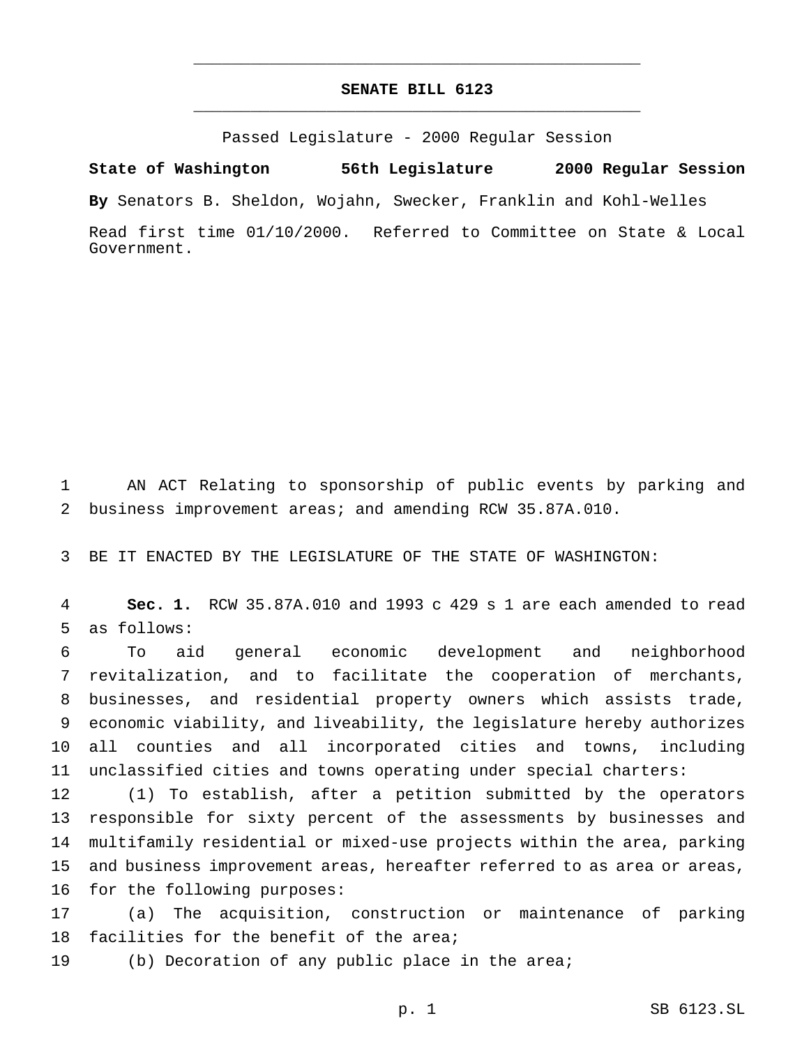## **SENATE BILL 6123** \_\_\_\_\_\_\_\_\_\_\_\_\_\_\_\_\_\_\_\_\_\_\_\_\_\_\_\_\_\_\_\_\_\_\_\_\_\_\_\_\_\_\_\_\_\_\_

\_\_\_\_\_\_\_\_\_\_\_\_\_\_\_\_\_\_\_\_\_\_\_\_\_\_\_\_\_\_\_\_\_\_\_\_\_\_\_\_\_\_\_\_\_\_\_

Passed Legislature - 2000 Regular Session

**State of Washington 56th Legislature 2000 Regular Session**

**By** Senators B. Sheldon, Wojahn, Swecker, Franklin and Kohl-Welles

Read first time 01/10/2000. Referred to Committee on State & Local Government.

 AN ACT Relating to sponsorship of public events by parking and business improvement areas; and amending RCW 35.87A.010.

BE IT ENACTED BY THE LEGISLATURE OF THE STATE OF WASHINGTON:

 **Sec. 1.** RCW 35.87A.010 and 1993 c 429 s 1 are each amended to read as follows:

 To aid general economic development and neighborhood revitalization, and to facilitate the cooperation of merchants, businesses, and residential property owners which assists trade, economic viability, and liveability, the legislature hereby authorizes all counties and all incorporated cities and towns, including unclassified cities and towns operating under special charters:

 (1) To establish, after a petition submitted by the operators responsible for sixty percent of the assessments by businesses and multifamily residential or mixed-use projects within the area, parking and business improvement areas, hereafter referred to as area or areas, for the following purposes:

 (a) The acquisition, construction or maintenance of parking 18 facilities for the benefit of the area;

(b) Decoration of any public place in the area;